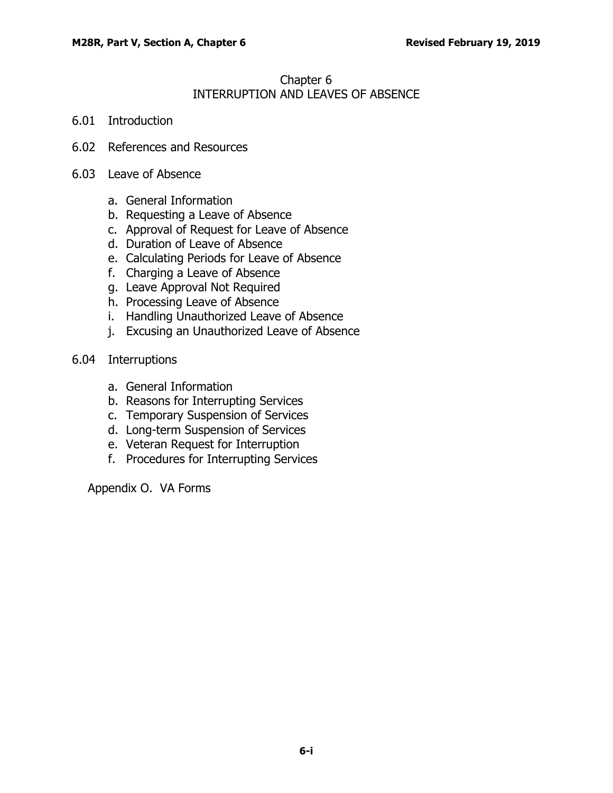## Chapter 6 INTERRUPTION AND LEAVES OF ABSENCE

- 6.01 [Introduction](#page-1-0)
- 6.02 [References and Resources](#page-1-1)
- 6.03 [Leave of Absence](#page-1-2)
	- a. [General Information](#page-1-3)
	- b. [Requesting a Leave of Absence](#page-2-0)
	- c. [Approval of Request for Leave of Absence](#page-2-1)
	- d. [Duration of Leave of Absence](#page-2-2)
	- e. [Calculating Periods for Leave of Absence](#page-2-3)
	- f. [Charging a Leave of Absence](#page-3-0)
	- g. [Leave Approval Not Required](#page-3-1)
	- h. [Processing Leave of Absence](#page-4-0)
	- i. [Handling Unauthorized Leave of Absence](#page-4-1)
	- j. [Excusing an Unauthorized Leave of Absence](#page-4-2)
- 6.04 [Interruptions](#page-5-0)
	- a. [General Information](#page-5-1)
	- b. [Reasons for Interrupting Services](#page-5-2)
	- c. [Temporary Suspension of Services](#page-6-0)
	- d. [Long-term Suspension of Services](#page-7-0)
	- e. [Veteran Request for Interruption](#page-8-0)
	- f. [Procedures for Interrupting Services](#page-8-1)

Appendix O. VA Forms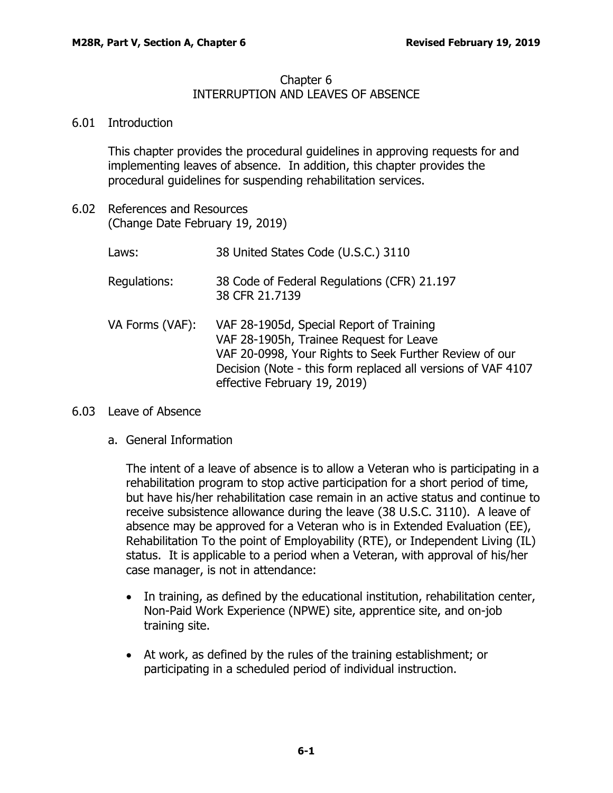## Chapter 6 INTERRUPTION AND LEAVES OF ABSENCE

## <span id="page-1-0"></span>6.01 Introduction

This chapter provides the procedural guidelines in approving requests for and implementing leaves of absence. In addition, this chapter provides the procedural guidelines for suspending rehabilitation services.

<span id="page-1-1"></span>6.02 References and Resources (Change Date February 19, 2019)

| Laws:           | 38 United States Code (U.S.C.) 3110                                                                                                                                                                                                           |
|-----------------|-----------------------------------------------------------------------------------------------------------------------------------------------------------------------------------------------------------------------------------------------|
| Regulations:    | 38 Code of Federal Regulations (CFR) 21.197<br>38 CFR 21.7139                                                                                                                                                                                 |
| VA Forms (VAF): | VAF 28-1905d, Special Report of Training<br>VAF 28-1905h, Trainee Request for Leave<br>VAF 20-0998, Your Rights to Seek Further Review of our<br>Decision (Note - this form replaced all versions of VAF 4107<br>effective February 19, 2019) |

## <span id="page-1-3"></span><span id="page-1-2"></span>6.03 Leave of Absence

a. General Information

The intent of a leave of absence is to allow a Veteran who is participating in a rehabilitation program to stop active participation for a short period of time, but have his/her rehabilitation case remain in an active status and continue to receive subsistence allowance during the leave (38 U.S.C. 3110). A leave of absence may be approved for a Veteran who is in Extended Evaluation (EE), Rehabilitation To the point of Employability (RTE), or Independent Living (IL) status. It is applicable to a period when a Veteran, with approval of his/her case manager, is not in attendance:

- In training, as defined by the educational institution, rehabilitation center, Non-Paid Work Experience (NPWE) site, apprentice site, and on-job training site.
- At work, as defined by the rules of the training establishment; or participating in a scheduled period of individual instruction.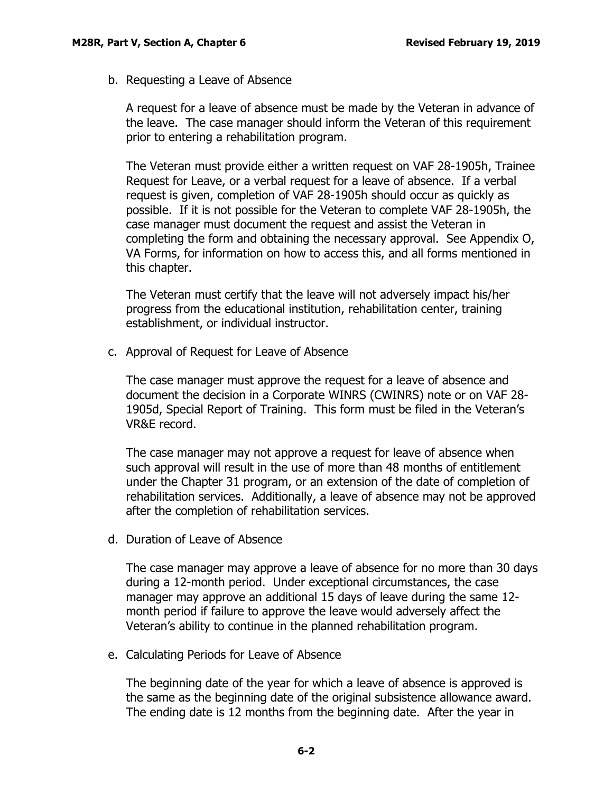<span id="page-2-0"></span>b. Requesting a Leave of Absence

A request for a leave of absence must be made by the Veteran in advance of the leave. The case manager should inform the Veteran of this requirement prior to entering a rehabilitation program.

The Veteran must provide either a written request on VAF 28-1905h, Trainee Request for Leave, or a verbal request for a leave of absence. If a verbal request is given, completion of VAF 28-1905h should occur as quickly as possible. If it is not possible for the Veteran to complete VAF 28-1905h, the case manager must document the request and assist the Veteran in completing the form and obtaining the necessary approval. See Appendix O, VA Forms, for information on how to access this, and all forms mentioned in this chapter.

The Veteran must certify that the leave will not adversely impact his/her progress from the educational institution, rehabilitation center, training establishment, or individual instructor.

<span id="page-2-1"></span>c. Approval of Request for Leave of Absence

The case manager must approve the request for a leave of absence and document the decision in a Corporate WINRS (CWINRS) note or on VAF 28- 1905d, Special Report of Training. This form must be filed in the Veteran's VR&E record.

The case manager may not approve a request for leave of absence when such approval will result in the use of more than 48 months of entitlement under the Chapter 31 program, or an extension of the date of completion of rehabilitation services. Additionally, a leave of absence may not be approved after the completion of rehabilitation services.

<span id="page-2-2"></span>d. Duration of Leave of Absence

The case manager may approve a leave of absence for no more than 30 days during a 12-month period. Under exceptional circumstances, the case manager may approve an additional 15 days of leave during the same 12 month period if failure to approve the leave would adversely affect the Veteran's ability to continue in the planned rehabilitation program.

<span id="page-2-3"></span>e. Calculating Periods for Leave of Absence

The beginning date of the year for which a leave of absence is approved is the same as the beginning date of the original subsistence allowance award. The ending date is 12 months from the beginning date. After the year in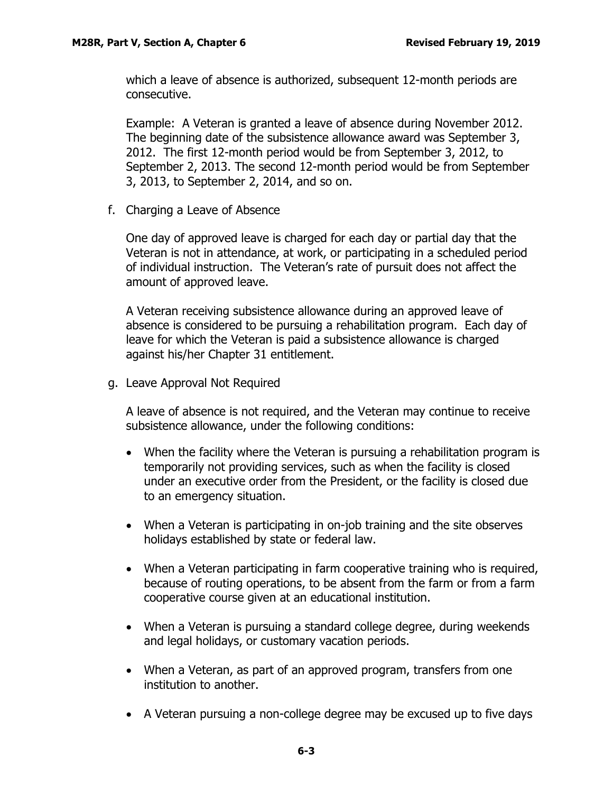which a leave of absence is authorized, subsequent 12-month periods are consecutive.

Example: A Veteran is granted a leave of absence during November 2012. The beginning date of the subsistence allowance award was September 3, 2012. The first 12-month period would be from September 3, 2012, to September 2, 2013. The second 12-month period would be from September 3, 2013, to September 2, 2014, and so on.

<span id="page-3-0"></span>f. Charging a Leave of Absence

One day of approved leave is charged for each day or partial day that the Veteran is not in attendance, at work, or participating in a scheduled period of individual instruction. The Veteran's rate of pursuit does not affect the amount of approved leave.

A Veteran receiving subsistence allowance during an approved leave of absence is considered to be pursuing a rehabilitation program. Each day of leave for which the Veteran is paid a subsistence allowance is charged against his/her Chapter 31 entitlement.

<span id="page-3-1"></span>g. Leave Approval Not Required

A leave of absence is not required, and the Veteran may continue to receive subsistence allowance, under the following conditions:

- When the facility where the Veteran is pursuing a rehabilitation program is temporarily not providing services, such as when the facility is closed under an executive order from the President, or the facility is closed due to an emergency situation.
- When a Veteran is participating in on-job training and the site observes holidays established by state or federal law.
- When a Veteran participating in farm cooperative training who is required, because of routing operations, to be absent from the farm or from a farm cooperative course given at an educational institution.
- When a Veteran is pursuing a standard college degree, during weekends and legal holidays, or customary vacation periods.
- When a Veteran, as part of an approved program, transfers from one institution to another.
- A Veteran pursuing a non-college degree may be excused up to five days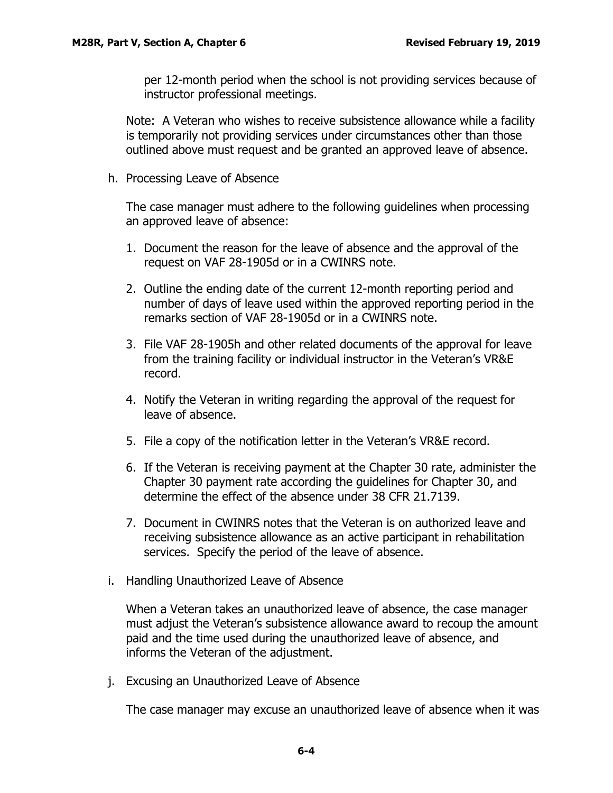per 12-month period when the school is not providing services because of instructor professional meetings.

Note: A Veteran who wishes to receive subsistence allowance while a facility is temporarily not providing services under circumstances other than those outlined above must request and be granted an approved leave of absence.

<span id="page-4-0"></span>h. Processing Leave of Absence

The case manager must adhere to the following guidelines when processing an approved leave of absence:

- 1. Document the reason for the leave of absence and the approval of the request on VAF 28-1905d or in a CWINRS note.
- 2. Outline the ending date of the current 12-month reporting period and number of days of leave used within the approved reporting period in the remarks section of VAF 28-1905d or in a CWINRS note.
- 3. File VAF 28-1905h and other related documents of the approval for leave from the training facility or individual instructor in the Veteran's VR&E record.
- 4. Notify the Veteran in writing regarding the approval of the request for leave of absence.
- 5. File a copy of the notification letter in the Veteran's VR&E record.
- 6. If the Veteran is receiving payment at the Chapter 30 rate, administer the Chapter 30 payment rate according the guidelines for Chapter 30, and determine the effect of the absence under 38 CFR 21.7139.
- 7. Document in CWINRS notes that the Veteran is on authorized leave and receiving subsistence allowance as an active participant in rehabilitation services. Specify the period of the leave of absence.
- <span id="page-4-1"></span>i. Handling Unauthorized Leave of Absence

When a Veteran takes an unauthorized leave of absence, the case manager must adjust the Veteran's subsistence allowance award to recoup the amount paid and the time used during the unauthorized leave of absence, and informs the Veteran of the adjustment.

<span id="page-4-2"></span>j. Excusing an Unauthorized Leave of Absence

The case manager may excuse an unauthorized leave of absence when it was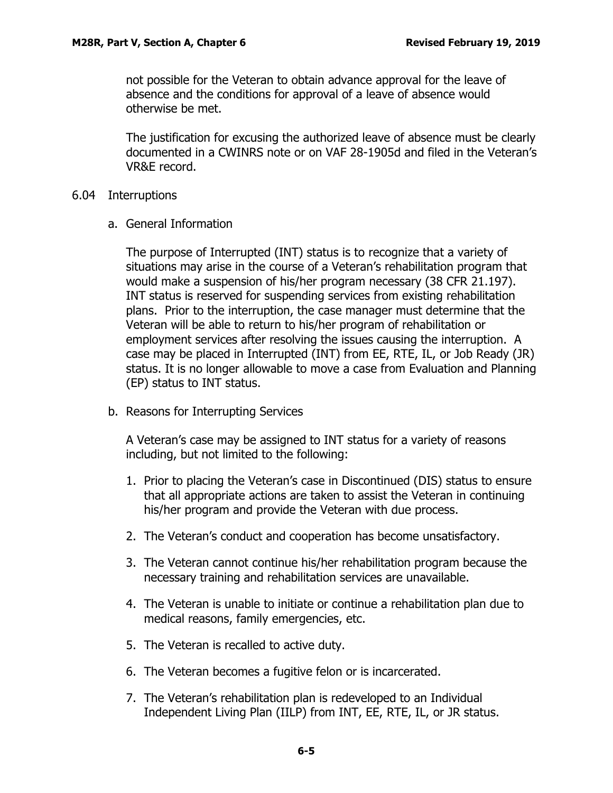not possible for the Veteran to obtain advance approval for the leave of absence and the conditions for approval of a leave of absence would otherwise be met.

The justification for excusing the authorized leave of absence must be clearly documented in a CWINRS note or on VAF 28-1905d and filed in the Veteran's VR&E record.

- <span id="page-5-1"></span><span id="page-5-0"></span>6.04 Interruptions
	- a. General Information

The purpose of Interrupted (INT) status is to recognize that a variety of situations may arise in the course of a Veteran's rehabilitation program that would make a suspension of his/her program necessary (38 CFR 21.197). INT status is reserved for suspending services from existing rehabilitation plans. Prior to the interruption, the case manager must determine that the Veteran will be able to return to his/her program of rehabilitation or employment services after resolving the issues causing the interruption. A case may be placed in Interrupted (INT) from EE, RTE, IL, or Job Ready (JR) status. It is no longer allowable to move a case from Evaluation and Planning (EP) status to INT status.

<span id="page-5-2"></span>b. Reasons for Interrupting Services

A Veteran's case may be assigned to INT status for a variety of reasons including, but not limited to the following:

- 1. Prior to placing the Veteran's case in Discontinued (DIS) status to ensure that all appropriate actions are taken to assist the Veteran in continuing his/her program and provide the Veteran with due process.
- 2. The Veteran's conduct and cooperation has become unsatisfactory.
- 3. The Veteran cannot continue his/her rehabilitation program because the necessary training and rehabilitation services are unavailable.
- 4. The Veteran is unable to initiate or continue a rehabilitation plan due to medical reasons, family emergencies, etc.
- 5. The Veteran is recalled to active duty.
- 6. The Veteran becomes a fugitive felon or is incarcerated.
- 7. The Veteran's rehabilitation plan is redeveloped to an Individual Independent Living Plan (IILP) from INT, EE, RTE, IL, or JR status.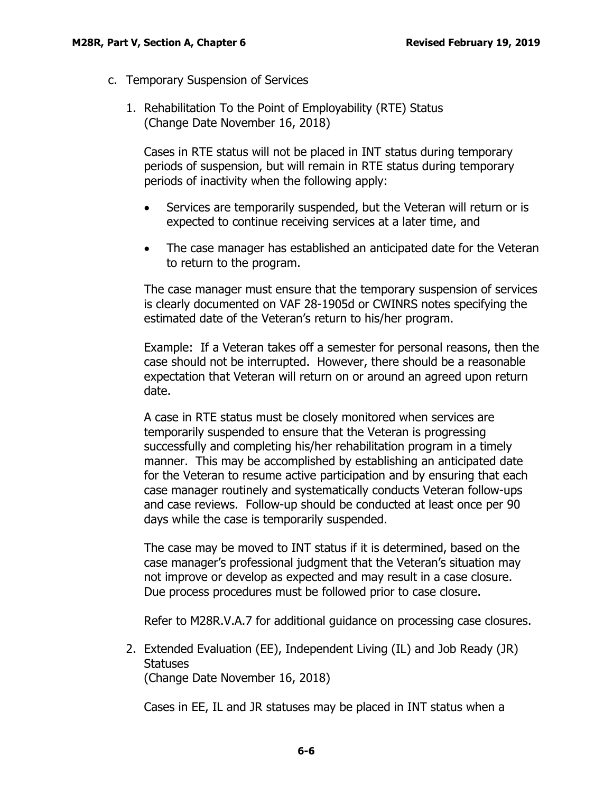- <span id="page-6-0"></span>c. Temporary Suspension of Services
	- 1. Rehabilitation To the Point of Employability (RTE) Status (Change Date November 16, 2018)

Cases in RTE status will not be placed in INT status during temporary periods of suspension, but will remain in RTE status during temporary periods of inactivity when the following apply:

- Services are temporarily suspended, but the Veteran will return or is expected to continue receiving services at a later time, and
- The case manager has established an anticipated date for the Veteran to return to the program.

The case manager must ensure that the temporary suspension of services is clearly documented on VAF 28-1905d or CWINRS notes specifying the estimated date of the Veteran's return to his/her program.

Example: If a Veteran takes off a semester for personal reasons, then the case should not be interrupted. However, there should be a reasonable expectation that Veteran will return on or around an agreed upon return date.

A case in RTE status must be closely monitored when services are temporarily suspended to ensure that the Veteran is progressing successfully and completing his/her rehabilitation program in a timely manner. This may be accomplished by establishing an anticipated date for the Veteran to resume active participation and by ensuring that each case manager routinely and systematically conducts Veteran follow-ups and case reviews. Follow-up should be conducted at least once per 90 days while the case is temporarily suspended.

The case may be moved to INT status if it is determined, based on the case manager's professional judgment that the Veteran's situation may not improve or develop as expected and may result in a case closure. Due process procedures must be followed prior to case closure.

Refer to M28R.V.A.7 for additional guidance on processing case closures.

2. Extended Evaluation (EE), Independent Living (IL) and Job Ready (JR) **Statuses** 

(Change Date November 16, 2018)

Cases in EE, IL and JR statuses may be placed in INT status when a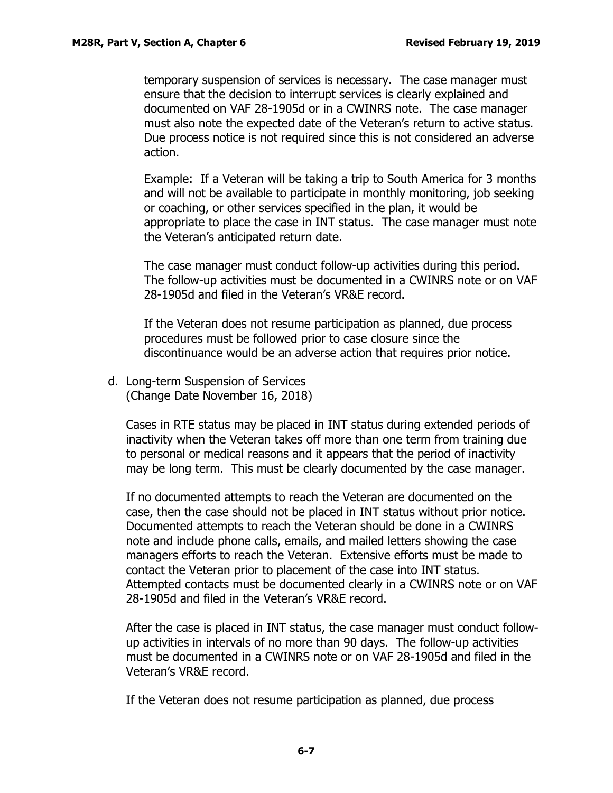temporary suspension of services is necessary. The case manager must ensure that the decision to interrupt services is clearly explained and documented on VAF 28-1905d or in a CWINRS note. The case manager must also note the expected date of the Veteran's return to active status. Due process notice is not required since this is not considered an adverse action.

Example: If a Veteran will be taking a trip to South America for 3 months and will not be available to participate in monthly monitoring, job seeking or coaching, or other services specified in the plan, it would be appropriate to place the case in INT status. The case manager must note the Veteran's anticipated return date.

The case manager must conduct follow-up activities during this period. The follow-up activities must be documented in a CWINRS note or on VAF 28-1905d and filed in the Veteran's VR&E record.

If the Veteran does not resume participation as planned, due process procedures must be followed prior to case closure since the discontinuance would be an adverse action that requires prior notice.

<span id="page-7-0"></span>d. Long-term Suspension of Services (Change Date November 16, 2018)

Cases in RTE status may be placed in INT status during extended periods of inactivity when the Veteran takes off more than one term from training due to personal or medical reasons and it appears that the period of inactivity may be long term. This must be clearly documented by the case manager.

If no documented attempts to reach the Veteran are documented on the case, then the case should not be placed in INT status without prior notice. Documented attempts to reach the Veteran should be done in a CWINRS note and include phone calls, emails, and mailed letters showing the case managers efforts to reach the Veteran. Extensive efforts must be made to contact the Veteran prior to placement of the case into INT status. Attempted contacts must be documented clearly in a CWINRS note or on VAF 28-1905d and filed in the Veteran's VR&E record.

After the case is placed in INT status, the case manager must conduct followup activities in intervals of no more than 90 days. The follow-up activities must be documented in a CWINRS note or on VAF 28-1905d and filed in the Veteran's VR&E record.

If the Veteran does not resume participation as planned, due process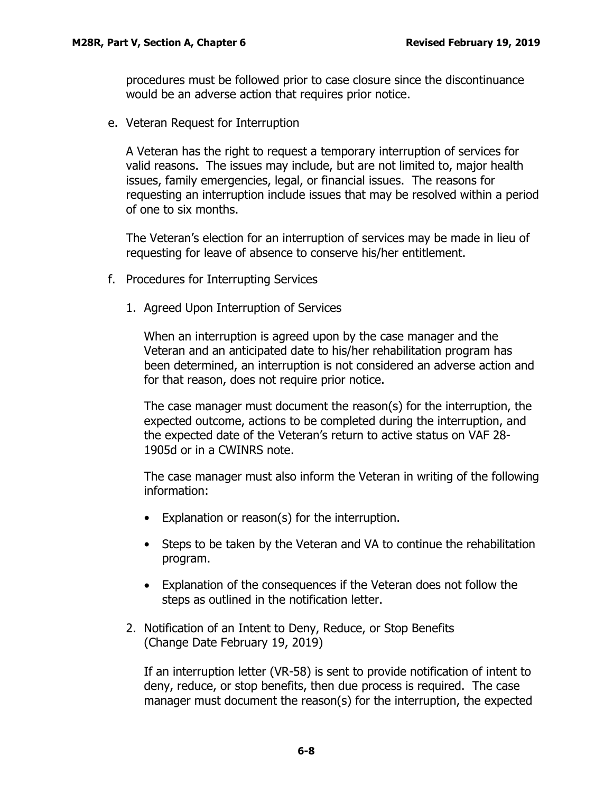procedures must be followed prior to case closure since the discontinuance would be an adverse action that requires prior notice.

<span id="page-8-0"></span>e. Veteran Request for Interruption

A Veteran has the right to request a temporary interruption of services for valid reasons. The issues may include, but are not limited to, major health issues, family emergencies, legal, or financial issues. The reasons for requesting an interruption include issues that may be resolved within a period of one to six months.

The Veteran's election for an interruption of services may be made in lieu of requesting for leave of absence to conserve his/her entitlement.

- <span id="page-8-1"></span>f. Procedures for Interrupting Services
	- 1. Agreed Upon Interruption of Services

When an interruption is agreed upon by the case manager and the Veteran and an anticipated date to his/her rehabilitation program has been determined, an interruption is not considered an adverse action and for that reason, does not require prior notice.

The case manager must document the reason(s) for the interruption, the expected outcome, actions to be completed during the interruption, and the expected date of the Veteran's return to active status on VAF 28- 1905d or in a CWINRS note.

The case manager must also inform the Veteran in writing of the following information:

- Explanation or reason(s) for the interruption.
- Steps to be taken by the Veteran and VA to continue the rehabilitation program.
- Explanation of the consequences if the Veteran does not follow the steps as outlined in the notification letter.
- 2. Notification of an Intent to Deny, Reduce, or Stop Benefits (Change Date February 19, 2019)

If an interruption letter (VR-58) is sent to provide notification of intent to deny, reduce, or stop benefits, then due process is required. The case manager must document the reason(s) for the interruption, the expected